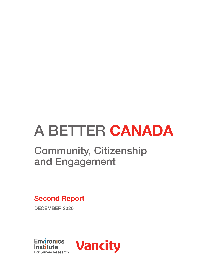# A BETTER **CANADA**

# Community, Citizenship and Engagement

**Second Report** 

DECEMBER 2020



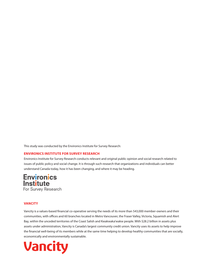This study was conducted by the Environics Institute for Survey Research:

### **[ENVIRONICS INSTITUTE FOR SURVEY RESEARCH](https://www.environicsinstitute.org)**

Environics Institute for Survey Research conducts relevant and original public opinion and social research related to issues of public policy and social change. It is through such research that organizations and individuals can better understand Canada today, how it has been changing, and where it may be heading.

# **Environics Institute** For Survey Research

#### **VANCITY**

Vancity is a values-based financial co-operative serving the needs of its more than 543,000 member-owners and their communities, with offices and 60 branches located in Metro Vancouver, the Fraser Valley, Victoria, Squamish and Alert Bay, within the unceded territories of the Coast Salish and Kwakwaka'wakw people. With \$28.2 billion in assets plus assets under administration, Vancity is Canada's largest community credit union. Vancity uses its assets to help improve the financial well-being of its members while at the same time helping to develop healthy communities that are socially, economically and environmentally sustainable.

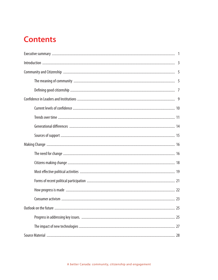# **Contents**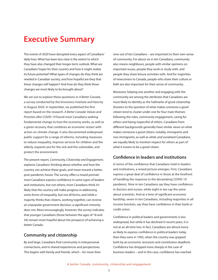# **Executive Summary**

The events of 2020 have disrupted every aspect of Canadians' daily lives. What has been less clear is the extent to which they have also changed their longer-term outlook. What are Canadians' hopes for their country and how it might realize its future potential? What types of changes do they think are needed in Canadian society, and how hopeful are they that these changes will happen? And how do they think those changes are most likely to be brought about?

We set out to explore these questions in *A Better Canada*, a survey conducted by the Environics Institute and Vancity in August 2020. In September, we published the first report based on the research. *A Better Canada: Values and Priorities after COVID-19* found most Canadians seeking fundamental change to how the economy works, as well as a green recovery that combines an economic restart with action on climate change. It also documented widespread public support for a range of reforms, including measures to reduce inequality, improve services for children and the elderly, expand care for the sick and the vulnerable, and protect the environment.

The present report, *Community, Citizenship and Engagement*, explores Canadians' thinking about whether and how the country can achieve these goals, and move toward a better, post-pandemic future. The survey offers a mixed portrait: most Canadians express confidence in some types of leaders and institutions, but not others; most Canadians think it's likely that the country will make progress in addressing some forms of inequality, but not all forms; and while a majority thinks that citizens, working together, can reverse an unpopular government decision, a significant minority does not. More encouragingly, however, the survey indicates that younger Canadians (those between the ages of 18 and 34) remain more hopeful about the prospects of achieving a better Canada.

### **Community and citizenship**

By and large, Canadians find community in interpersonal connections, and in shared experiences and perspectives. This begins with family and friends, which – for more than

nine out of ten Canadians – are important to their own sense of community. For about six in ten Canadians, community also means neighbours, people with similar opinions on important issues, people they work or study with, and people they share leisure activities with. And for majorities of newcomers to Canada, people who share their culture or faith are also important for their sense of community.

Moreover, helping one another and engaging with the community are among the attributes that Canadians are most likely to identity as the hallmarks of good citizenship. Answers to the question of what makes someone a good citizen tend to cluster under one for four main themes: following the rules, community engagement, caring for others and being respectful of others. Canadians from different backgrounds generally have similar views on what makes someone a good citizen; notably, immigrants and non-immigrants, as well as white and racialized Canadians, are equally likely to mention respect for others as part of what it means to be a good citizen.

### **Confidence in leaders and institutions**

In terms of the confidence that Canadians hold in leaders and institutions, a mixed picture emerges. First, Canadians express a great deal of confidence in those at the forefront of handling the response to the devastating COVID-19 pandemic. Nine in ten Canadians say they have confidence in doctors and nurses, while eight in ten say the same about scientists. And at a time of significant economic hardship, seven in ten Canadians, including majorities in all income brackets, say they have confidence in their bank or credit union.

Confidence in political leaders and governments is less widespread, but while it has declined in recent years, it is not at an all-time low. In fact, Canadians are almost twice as likely to express confidence in political leaders today than they were in 1992, when the country was gripped both by an economic recession and constitution deadlock. Confidence has dropped more sharply in the case of business leaders – and in this case, confidence has reached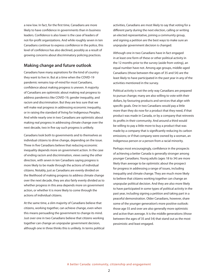a new low. In fact, for the first time, Canadians are more likely to have confidence in governments than in business leaders. Confidence is also lower is the case of leaders of not-for-profit organizations. And while roughly seven in ten Canadians continue to express confidence in the police, this level of confidence has also declined, possibly as a result of growing concerns about discriminatory policing practices.

### **Making change and future outlook**

Canadians have many aspirations for the kind of country they want to live in. But at a time when the COVID-19 pandemic remains top-of-mind for most Canadians, confidence about making progress is uneven. A majority of Canadians are optimistic about making real progress to address pandemics like COVID-19, gender inequality, and racism and discrimination. But they are less sure that we will make real progress in addressing economic inequality, or in raising the standard of living for Indigenous Peoples. And while nearly one in two Canadians are optimistic about making real progress in addressing climate change over the next decade, two in five say such progress is unlikely.

Canadians look both to governments and to themselves as individual citizens to drive change, depending on the issue. Three in five Canadians believe that reducing economic inequality depends more on government action. In the case of ending racism and discrimination, views swing the other direction, with seven in ten Canadians saying progress is more likely to be made through the actions of individual citizens. Notably, just as Canadians are evenly divided on the likelihood of making progress to address climate change over the next decade, they are also fairly evenly divided as to whether progress in this area depends more on government action, or whether it is more likely to come through the actions of individual citizens.

At the same time, a slim majority of Canadians believe that citizens, working together, can achieve change, even when this means persuading the government to change its mind. Just over one in two Canadians believe that citizens working together can change an unpopular government decision, although one in three thinks this is unlikely. In terms political

activities, Canadians are most likely to say that voting for a different party during the next election, calling or writing an elected representative, joining a community group, and signing a petition are the best ways to make sure an unpopular government decision is changed.

Although one in two Canadians have in fact engaged in at least one form of these or other political activity in the 12 months prior to the survey (aside from voting), an equal number have not. Among age groups, middle-aged Canadians (those between the ages of 35 and 54) are the least likely to have participated in the past year in any of the activities mentioned in the survey.

Political activity is not the only way Canadians are prepared to pursue change; many are also willing to vote with their dollars, by favouring products and services that align with specific goals. One in two Canadians would pay a little more than they do now for a product that they need, if that product was made in Canada, or by a company that reinvests its profits in their community. And around a third would be willing to pay a little more to buy a product that was made by a company that is significantly reducing its carbon emissions; or if that company were owned by a woman, an Indigenous person or a person from a racial minority.

Perhaps most encouragingly, confidence in the prospects of achieving a better Canada is generally stronger among younger Canadians. Young adults (ages 18 to 34) are more likely than average to be optimistic about the prospect for progress in addressing a range of issues, including inequality and climate change. They are much more likely to believe that citizens working together can change an unpopular political decision. And they are also more likely to have participated in some types of political activity in the past year, including signing a petition and taking part in a peaceful demonstration. Older Canadians, however, share some of the younger generation's more positive outlook: those age 55 and over are also generally more optimistic and active than average. It is the middle generations (those between the ages of 35 and 54) that stand out as the most pessimistic and least engaged.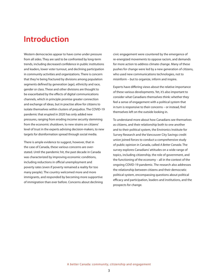# **Introduction**

Western democracies appear to have come under pressure from all sides. They are said to be confronted by long-term trends, including decreased confidence in public institutions and leaders, lower voter turnout, and declining participation in community activities and organizations. There is concern that they're being fractured by divisions among population segments defined by generation (age), ethnicity and race, gender or class. These and other divisions are thought to be exacerbated by the effects of digital communications channels, which in principle promise greater connection and exchange of ideas, but in practise allow for citizens to isolate themselves within clusters of prejudice. The COVID-19 pandemic that erupted in 2020 has only added new pressures, ranging from eroding income security stemming from the economic shutdown, to new strains on citizens' level of trust in the experts advising decision-makers, to new targets for disinformation spread through social media.

There is ample evidence to suggest, however, that in the case of Canada, these various concerns are overstated. Until the pandemic hit, the past decade in Canada was characterized by improving economic conditions, including reductions in official unemployment and poverty rates (even if poverty remained a reality for too many people). The country welcomed more and more immigrants, and responded by becoming more supportive of immigration than ever before. Concerns about declining civic engagement were countered by the emergence of re-energized movements to oppose racism, and demands for more action to address climate change. Many of these pushes for change were led by a new generation of citizens, who used new communications technologies, not to misinform – but to organize, inform and inspire.

Experts have differing views about the relative importance of these various developments. Yet, it's also important to consider what Canadians themselves think: whether they feel a sense of engagement with a political system that in turn is responsive to their concerns – or instead, find themselves left on the outside looking in.

To understand more about how Canadians see themselves as citizens, and their relationship both to one another and to their political system, the Environics Institute for Survey Research and the Vancouver City Savings credit union joined forces to conduct a comprehensive study of public opinion in Canada, called *A Better Canada*. The survey explores Canadians' attitudes on a wide range of topics, including citizenship, the role of government, and the functioning of the economy – all in the context of the ongoing COVID-19 pandemic. The research also addresses the relationship between citizens and their democratic political system, encompassing questions about political efficacy and participation, leaders and institutions, and the prospects for change.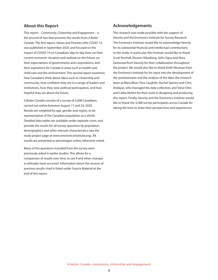### **About this Report**

This report – *Community, Citizenship and Engagement* – is the second of two that presents the results from *A Better Canada*. The first report, *Values and Priorities after COVID-19*, was published in September 2020, and focused on the impact of COVID-19 on Canadians' day-to-day lives; on their current economic situation and outlook on the future; on their expectations of governments and corporations; and their aspirations for Canada in areas such as health care, child care and the environment. This second report examines how Canadians think about ideas such as citizenship and community, how confident they are in a range of leaders and institutions, how they view political participation, and how hopeful they are about the future.

*A Better Canada* consists of a survey of 3,008 Canadians, carried out online between August 17 and 24, 2020. Results are weighted by age, gender and region, to be representative of the Canadian population as a whole. Detailed data tables are available under separate cover, and provide the results for all survey questions by population demographics and other relevant characteristics (see the study project page at www.environicsinstitute.org). All results are presented as percentages unless otherwise noted.

Many of the questions included from the survey were previously asked in earlier studies. This allows for a comparison of results over time, to see if and when changes in attitudes have occurred. Information about the sources of previous results cited is listed under Source Material at the end of this report.

### **Acknowledgements**

This research was made possible with the support of Vancity and the Environics Institute for Survey Research. The Environics Institute would like to acknowledge Vancity for its substantial financial and intellectual contributions to the study. In particular, the Institute would like to thank Scott Perchall, Reuven Shlozberg, Selin Oguz and Nora Eastwood from Vancity for their collaboration throughout the project. We would also like to thank Keith Neuman from the Environics Institute for his input into the development of the questionnaire and the analysis of the data; the research team at Maru/Blue (Tara Caughlin, Rachel Spence and Chris Andaya), who managed the data collection; and Steve Otto and Cathy McKim for their work in designing and producing this report. Finally, Vancity and the Environics Institute would like to thank the 3,008 survey participants across Canada for taking the time to share their perspectives and experiences.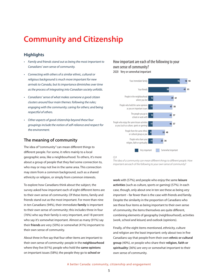# **Community and Citizenship**

### **Highlights**

- Family and friends stand out as being the most important to *Canadians' own sense of community.*
- • Connecting with others of a similar ethnic, cultural or religious background is much more important for new arrivals to Canada, but its importance diminishes over time *as the process of integrating into Canadian society unfolds.*
- Canadians' sense of what makes someone a good citizen *clusters around four main themes: following the rules;*  engaging with the community; caring for others; and being *respectful of others.*
- Other aspects of good citizenship beyond these four *groupings include the notion of self-reliance and respect for the environment.*

### **The meaning of community**

The idea of "community" can mean different things to different people. For some, it refers mainly to a local geographic area, like a neighbourhood. To others, it's more about a group of people that they feel some connection to, who may or may not live in the same area. This connection may stem from a common background, such as a shared ethnicity or religion, or simply from common interests.

To explore how Canadians think about the subject, the survey asked how important each of eight different items are to their own sense of community. Of these items, family and friends stand out as the most important. For more than nine in ten Canadians (94%), their immediate **family** is important to their own sense of community; this includes three in four (76%) who say their family is very important, and 18 percent who say it's somewhat important. Almost as many (91%) say their **friends** are very (50%) or somewhat (41%) important to their own sense of community.

About three in five say that four other items are important to their own sense of community: people in the **neighbourhood** where they live (61%); people who hold the **same opinions** on important issues (58%); the people they go to **school or** 

### How important are each of the following to your own sense of community? 2020 Very or somewhat important



*Q.9* 

*The idea of a community can mean different things to different people. How important are each of the following to your own sense of community?* 

**work** with (57%); and people who enjoy the same **leisure activities** (such as culture, sports or gaming) (57%). In each case, though, only about one in ten see these as being *very important* – far fewer than is the case with friends and family. Despite the similarity in the proportion of Canadians who see these four items as being important to their own sense of community, the items themselves are quite different, combining elements of geography (neighbourhood), activities (work, school and leisure) and outlook (opinions).

Finally, of the eight items mentioned, ethnicity, culture and religion are the least important: only about two in five Canadians say that people from their own **ethnic or cultural group** (40%), or people who share their **religion, faith or spirituality** (36%) are very or somewhat important to their own sense of community.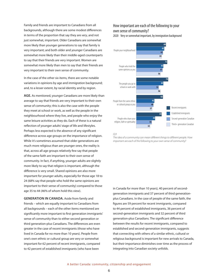Family and friends are important to Canadians from all backgrounds, although there are some modest differences in terms of the proportion that say they are *very*, and not just somewhat, important. Older Canadians are somewhat more likely than younger generations to say that family is very important; and both older and younger Canadians are somewhat more likely than their middle-aged counterparts to say that their friends are very important. Women are somewhat more likely than men to say that their friends are very important to their own sense of community.

In the case of the other six items, there are some notable variations in opinions by age and immigration background; and, to a lesser extent, by racial identity and by region.

**AGE.** As mentioned, younger Canadians are more likely than average to say that friends are very important to their own sense of community; this is also the case with the people they meet at school or work, as well as the people in the neighbourhood where they live, and people who enjoy the same leisure activities as they do. Each of these is a natural reflection of younger adults' stage of life and lifestyles. Perhaps less expected is the absence of any significant difference across age groups on the importance of religion. While it's sometimes assumed that older generations are much more religious than are younger ones, the reality is that, across all age groups relatively few say that people of the same faith are important to their own sense of community. In fact, if anything, younger adults are slightly more likely to say that religion is important, although the difference is very small. Shared opinions are also more important for younger adults, especially for those age 18 to 24 (68% say that people who hold the same opinions are important to their sense of community) compared to those age 35 to 44 (46% of whom hold this view).

**GENERATION IN CANADA.** Aside from family and friends – which are equally important to Canadians from all backgrounds – each of the other items mentioned are significantly more important to first generation immigrants' sense of community than to either second generation or third generation-plus Canadians. The differences are even greater in the case of recent immigrants (those who have lived in Canada for no more than 10 years). People from one's own ethnic or cultural group are very or somewhat important for 62 percent of recent immigrants, compared to 42 percent of established immigrants (who have been

### How important are each of the following to your own sense of community?

2020 Very or somewhat important, by immigration background



#### *Q.9*

*The idea of a community can mean different things to different people. How important are each of the following to your own sense of community?* 

in Canada for more than 10 years), 40 percent of secondgeneration immigrants and 37 percent of third generationplus Canadians. In the case of people of the same faith, the figures are 59 percent for recent immigrants, compared to 44 percent of established immigrants, 36 percent of second-generation immigrants and 32 percent of third generation-plus Canadians. The significant difference between the results for recent immigrants, compared to established and second-generation immigrants, suggests that connecting with others of a similar ethnic, cultural or religious background is important for new arrivals to Canada, but their importance diminishes over time as the process of integrating into Canadian society unfolds.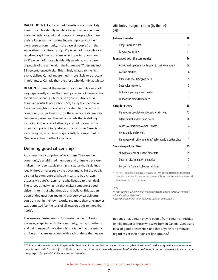**RACIAL IDENTITY.** Racialized Canadians are more likely than those who identify as white to say that people from their own ethnic or cultural group, and people who share their religion, faith or spirituality, are important to their own sense of community. In the case of people from the same ethnic or cultural group, 52 percent of those who are racialized say it's very or somewhat important, compared to 37 percent of those who identify as white. In the case of people of the same faith, the figures are 47 percent and 33 percent, respectively. (This is likely related to the fact that racialized Canadians are much more likely to be recent immigrants to Canada than are those who identify as white.)

**REGION.** In general, the meaning of community does not vary significantly across the country's regions. One exception to this rule is that Quebecers (51%) are less likely than Canadians outside of Quebec (65%) to say that people in their own neighbourhood are important to their sense of community. Other than this, it is the absence of differences between Quebec and the rest of Canada that is striking, including in the cases of ethnicity and culture – which is no more important to Quebecers than to other Canadians – and religion, which is not significantly less important to Quebecers than to other Canadians.

## **Defining good citizenship**

A community is comprised of its citizens. They are the community's established members and ultimate decisionmakers. In one sense, citizenship is a status that is defined legally through rules set by the government. But the public also has its own sense of what it means to be a citizen, especially a *good* citizen – one who lives up to their ideal. The survey asked what is it that makes someone a good citizen, in terms of what they do and believe. This was an open-ended question, meaning that survey participants could answer in their own words, and more than one answer was permitted (so the total of all answers adds to more than 100%).

The answers cluster around four main themes: following the rules; engaging with the community; caring for others; and being respectful of others. It is notable that the specific attributes that are associated with each of these themes are

### Attributes of a good citizen (by theme)\* 2020

| <b>Follows the rules</b>                                   | 38 |
|------------------------------------------------------------|----|
| Obeys laws and rules                                       | 32 |
| Pays taxes and bills                                       | 11 |
| Is engaged with the community                              | 36 |
| Active/participates in/contributes to their community      | 26 |
| Votes in elections                                         | 6  |
| Donates to charities/gives back                            | 5  |
| Does volunteer work                                        | 3  |
| Follows or participates in politics                        | 3  |
| Follows the news/is informed                               | 1  |
| <b>Cares for others</b>                                    | 30 |
| Helps other people/neighbours/those in need                | 17 |
| Is fair, honest or does good deeds                         | 10 |
| Polite to others/nice/compassionate                        | 4  |
| Helps family and friends                                   | 3  |
|                                                            |    |
| Helps people in other countries/makes world a better place | 1  |
| <b>Shows respect for others</b>                            | 25 |
| Shows tolerance or respect for others                      | 19 |
| Does not discriminate/is not racist                        | 7  |

\* The sum of the responses for all four themes exceeds 100% because some respondents mention more than one attribute; for the same reason, the sum of the responses for the attributes within each theme exceeds the total for that theme.

*Q.24*

*In your opinion, what is it that makes someone a good citizen, in terms of what they do and believe? Please share as much information as you can on this topic.*

not ones that pertain only to people from certain ethnicities or religions, or to those who were born in Canada. Canadians' ideal of good citizenship is one that anyone can embrace, regardless of their origins or background.<sup>1</sup>

 $1$  This is consistent with the finding from the Environics Institute's 2011 survey on citizenship, that nine in ten Canadians agree that someone who was born outside Canada is just as likely to be a good citizen as someone born here. See *Canadians on Citizenship* at *https://www.environicsinstitute. org/projects/project-details/canadians-on-citizenship.*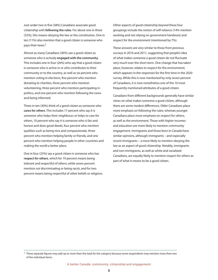Just under two in five (38%) Canadians associate good citizenship with **following the rules**. For about one in three (32%), this means obeying the law or the constitution. One in ten (11%) also mention that a good citizen is someone who pays their taxes.<sup>2</sup>

Almost as many Canadians (36%) see a good citizen as someone who is actively **engaged with the community**. This includes one in four (26%) who say that a good citizen is someone who is active in or who contributes to their community or to the country, as well as six percent who mention voting in elections, five percent who mention donating to charities, three percent who mention volunteering, three percent who mention participating in politics, and one percent who mention following the news and being informed.

Three in ten (30%) think of a good citizen as someone who **cares for others**. This includes 17 percent who say it is someone who helps their neighbours or helps to care for others, 10 percent who say it is someone who is fair and honest and does good deeds, four percent who mention qualities such as being nice and compassionate, three percent who mention helping family or friends, and one percent who mention helping people in other countries and making the world a better place.

One in four (25%) say a good citizen is someone who has **respect for others**, which for 19 percent means being tolerant and respectful of others; while seven percent mention *not* discriminating or being racist, and for two percent means being respectful of other beliefs or religions.

Other aspects of good citizenship beyond these four groupings include the notion of self-reliance (14% mention working and not relying on government handouts) and respect for the environment (mentioned by 7%).

These answers are very similar to those from previous surveys in 2016 and 2011, suggesting that people's idea of what makes someone a good citizen do not fluctuate very much over the short-term. One change that has taken place, however, relates to respect for the environment, which appears in the responses for the first time in the 2020 survey. While this is now mentioned by only seven percent of Canadians, it is now nonetheless one of the 10 most frequently mentioned attributes of a good citizen.

Canadians from different backgrounds generally have similar views on what makes someone a good citizen, although there are some modest differences. Older Canadians place more emphasis on following the rules; whereas younger Canadians place more emphasis on respect for others, as well as the environment. Those with higher incomes and education are more likely to mention community engagement. Immigrants and those born in Canada have similar opinions, although immigrants – and especially recent immigrants – a more likely to mention obeying the law as an aspect of good citizenship. Notably, immigrants and non-immigrants, as well as white and racialized Canadians, are equally likely to mention respect for others as part of what it means to be a good citizen.

 $2$  These separate figures may add up to more than the total for the category because some respondents may mention more than one of the individual items.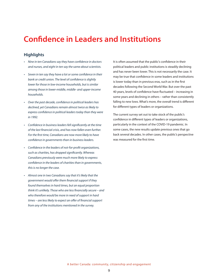# **Confidence in Leaders and Institutions**

## **Highlights**

- Nine in ten Canadians say they have confidence in doctors and nurses, and eight in ten say the same about scientists.
- Seven in ten say they have a lot or some confidence in their bank or credit union. The level of confidence is slightly lower for those in low-income households, but is similar *among those in lower-middle, middle- and upper-income households.*
- • Over the past decade, confidence in political leaders has declined, yet Canadians remain almost twice as likely to express confidence in political leaders today than they were *in 1992.*
- Confidence in business leaders fell significantly at the time of the last financial crisis, and has now fallen even further. For the first time, Canadians are now more likely to have confidence in governments than in business leaders.
- • Confidence in the leaders of not-for-profit organizations, such as charities, has dropped significantly. Whereas Canadians previously were much more likely to express confidence in the leaders of charities than in governments, *this is no longer the case.*
- Almost one in two Canadians say that it's likely that the government would offer them financial support if they found themselves in hard times, but an equal proportion think it's unlikely. Those who are less financially secure – and who therefore would be more in need of support in hard times - are less likely to expect an offer of financial support *from any of the institutions mentioned in the survey.*

It is often assumed that the public's confidence in their political leaders and public institutions is steadily declining and has never been lower. This is not necessarily the case. It may be true that confidence in some leaders and institutions is lower today than in previous eras, such as in the first decades following the Second World War. But over the past 40 years, levels of confidence have fluctuated – increasing in some years and declining in others – rather than consistently falling to new lows. What's more, the overall trend is different for different types of leaders or organizations.

The current survey set out to take stock of the public's confidence in different types of leaders or organizations, particularly in the context of the COVID-19 pandemic. In some cases, the new results update previous ones that go back several decades. In other cases, the public's perspective was measured for the first time.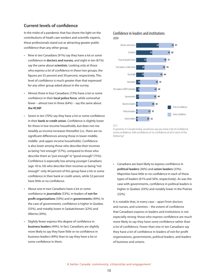# **Current levels of confidence**

In the midst of a pandemic that has shone the light on the contributions of heath care workers and scientific experts, these professionals stand out as attracting greater public confidence than any other group.

- Nine in ten Canadians (91%) say they have a lot or some confidence in **doctors and nurses**, and eight in ten (81%) say the same about **scientists**. Looking only at those who express a *lot* of confidence in these two groups, the figures are 55 percent and 39 percent, respectively. This level of confidence is much greater than that expressed for any other group asked about in the survey.
- Almost three in four Canadians (73%) have a lot or some confidence in their **local police force**, while somewhat fewer – almost two in three (64%) – say the same about **the RCMP**.
- Seven in ten (70%) say they have a lot or some confidence in their **bank or credit union**. Confidence is slightly lower for those in low-income households, but does not rise steadily as income increases thereafter (i.e., there are no significant differences among those in lower-middle, middle- and upper-income households). Confidence is also lower among those who describe their incomes as being "not enough" (57%), compared to those who describe them as "just enough" or "good enough" (75%). Confidence is especially low among younger Canadians (age 18 to 34) who describe their incomes as being "not enough": only 44 percent of this group have a lot or some confidence in their bank or credit union, while 52 percent have little or no confidence.
- • About one in two Canadians have a lot or some confidence in **journalists** (53%), in leaders of **not-for profit organizations** (50%) and in **governments** (49%). In the case of governments, confidence is higher in Quebec (55%), and notably lower in Saskatchewan (32%) and Alberta (30%).
- Slightly fewer express this degree of confidence in **business leaders** (44%). In fact, Canadians are slightly more likely to say they have little or no confidence in business leaders (49%) than to say they have a lot or some confidence in them.

### Confidence in leaders and institutions 2020



*Q.11* 

*In general, in Canada today, would you say you have a lot of confidence, some confidence, little confidence or no confidence at all in each of the following?* 

• Canadians are least likely to express confidence in **political leaders** (36%) and **union leaders** (33%). Majorities have little or no confidence in each of these types of leaders (61% and 56%, respectively). As was the case with governments, confidence in political leaders is higher in Quebec (43%) and notably lower in the Prairies (22%).

It is notable that, in every case – apart from doctors and nurses, and scientists – the extent of confidence that Canadians express in leaders and institutions is not especially strong: those who express confidence are much more likely to say they have *some* confidence rather than *a lot* of confidence. Fewer than one in ten Canadians say they have *a lot* of confidence in leaders of not-for-profit organizations, governments, political leaders, and leaders of business and unions.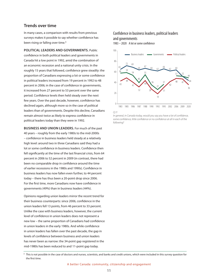### **Trends over time**

In many cases, a comparison with results from previous surveys makes it possible to say whether confidence has been rising or falling over time.<sup>3</sup>

**POLITICAL LEADERS AND GOVERNMENTS.** Public confidence in both political leaders and governments in Canada hit a low point in 1992, amid the combination of an economic recession and a national unity crisis. In the roughly 15 years that followed, confidence grew steadily: the proportion of Canadians expressing a lot or some confidence in political leaders increased from 19 percent in 1992 to 48 percent in 2006; in the case of confidence in governments, it increased from 27 percent to 53 percent over the same period. Confidence levels then held steady over the next few years. Over the past decade, however, confidence has declined again, although more so in the case of political leaders than of governments. Despite this decline, Canadians remain almost twice as likely to express confidence in political leaders today than they were in 1992.

**BUSINESS AND UNION LEADERS.** For much of the past 40 years – roughly from the early 1980s to the mid-2000s – confidence in business leaders held steady at a relatively high level: around two in three Canadians said they had a lot or some confidence in business leaders. Confidence then fell significantly at the time of the last financial crisis, from 64 percent in 2006 to 52 percent in 2009 (in contrast, there had been no comparable drop in confidence around the time of earlier recessions in the 1980s and 1990s). Confidence in business leaders has now fallen even further, to 44 percent today – there has thus been a 20-point drop since 2006. For the first time, more Canadians now have confidence in governments (49%) than in business leaders (44%).

Opinions regarding union leaders mirror the recent trend for their business counterparts: since 2006, confidence in the union leaders fell 13 points, from 46 percent to 33 percent. Unlike the case with business leaders, however, the current level of confidence in union leaders does not represent a new low – the same proportion of Canadians had confidence in union leaders in the early 1980s. And while confidence in union leaders has fallen over the past decade, the gap in levels of confidence between business and union leaders has never been as narrow: the 34-point gap registered in the mid-1980s has been reduced to and 11-point gap today.

### Confidence in business leaders, political leaders and governments

1983 – 2020 A lot or some confidence



*Q.11* 

*In general, in Canada today, would you say you have a lot of confidence, some confidence, little confidence or no confidence at all in each of the following?* 

<sup>3</sup> This is not possible in the case of doctors and nurses, scientists, and banks and credit unions, which were included in this survey question for the first time.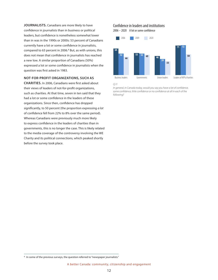JOURNALISTS. Canadians are more likely to have confidence in journalists than in business or political leaders, but confidence is nonetheless somewhat lower than in was in the 1990s or 2000s: 53 percent of Canadians currently have a lot or some confidence in journalists, compared to 63 percent in 2006.<sup>4</sup> But, as with unions, this does not mean that confidence in journalists has reached a new low. A similar proportion of Canadians (50%) expressed a lot or some confidence in journalists when the question was first asked in 1983.

#### **NOT-FOR-PROFIT ORGANIZATIONS, SUCH AS**

**CHARITIES.** In 2006, Canadians were first asked about their views of leaders of not-for-profit organizations, such as charities. At that time, seven in ten said that they had a lot or some confidence in the leaders of these organizations. Since then, confidence has dropped significantly, to 50 percent (the proportion expressing *a lot* of confidence fell from 22% to 8% over the same period). Whereas Canadians were previously much more likely to express confidence in the leaders of charities than in governments, this is no longer the case. This is likely related to the media coverage of the controversy involving the WE Charity and its political connections, which peaked shortly before the survey took place.

## Confidence in leaders and institutions

2006 – 2020 A lot or some confidence



*Q.11* 

*In general, in Canada today, would you say you have a lot of confidence, some confidence, little confidence or no confidence at all in each of the following?* 

<sup>&</sup>lt;sup>4</sup> In some of the previous surveys, the question referred to "newspaper journalists."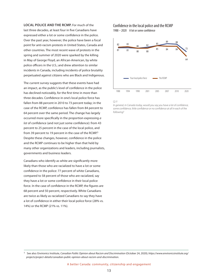**LOCAL POLICE AND THE RCMP.** For much of the last three decades, at least four in five Canadians have expressed either a lot or some confidence in the police. Over the past year, however, the police have been a focal point for anti-racism protests in United States, Canada and other countries. The most recent wave of protests in the spring and summer of 2020 were sparked by the killing in May of George Floyd, an African-American, by white police officers in the U.S.; and drew attention to similar incidents in Canada, including incidents of police brutality perpetuated against citizens who are Black and Indigenous.

The current survey suggests that these events have had an impact, as the public's level of confidence in the police has declined noticeably, for the first time in more than three decades. Confidence in one's local police force has fallen from 88 percent in 2010 to 73 percent today; in the case of the RCMP, confidence has fallen from 84 percent to 64 percent over the same period. The change has largely occurred more specifically in the proportion expressing *a lot* of confidence (and not just some confidence): from 43 percent to 25 percent in the case of the local police, and from 39 percent to 19 percent in the case of the RCMP.<sup>5</sup> Despite these changes, however, confidence in the police and the RCMP continues to be higher than that held by many other organizations and leaders, including journalists, governments and business leaders.

Canadians who identify as white are significantly more likely than those who are racialized to have a lot or some confidence in the police: 77 percent of white Canadians, compared to 58 percent of those who are racialized, say they have a lot or some confidence in their local police force. In the case of confidence in the RCMP, the figures are 68 percent and 50 percent, respectively. White Canadians are twice as likely as racialized Canadians to say they have a lot of confidence in either their local police force (28% vs. 14%) or the RCMP (21% vs. 11%).

### Confidence in the local police and the RCMP 1988 – 2020 A lot or some confidence



#### *Q.11*

*In general, in Canada today, would you say you have a lot of confidence, some confidence, little confidence or no confidence at all in each of the following?* 

<sup>5</sup> See also: Environics Institute, Canadian Public Opinion about Racism and Discrimination (October 24, 2020); *https://www.environicsinstitute.org/* projects/project-details/canadian-public-opinion-about-racism-and-discrimination.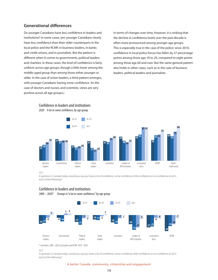## **Generational differences**

Do younger Canadians have less confidence in leaders and institutions? In some cases, yes: younger Canadians clearly have less confidence than their older counterparts in the local police and the RCMP, in business leaders, in banks and credit unions, and in journalists. But the pattern is different when it comes to governments, political leaders and charities: in these cases, the level of confidence is fairly uniform across age groups, though a little lower among the middle-aged group than among those either younger or older. In the case of union leaders, a third pattern emerges, with younger Canadians having more confidence. (In the case of doctors and nurses, and scientists, views are very positive across all age groups.)

> Confidence in leaders and institutions 2020 A lot or some confidence, by age group

In terms of changes over time, however, it is striking that the decline in confidence levels over the past decade is often more pronounced among younger age groups. This is especially true in the case of the police: since 2010, confidence in local police forces has fallen by 27 percentage points among those age 18 to 29, compared to eight points among those age 60 and over. But the same general pattern also holds in other cases, such as in the case of business leaders, political leaders and journalists.



*Q.11* 

*In general, in Canada today, would you say you have a lot of confidence, some confidence, little confidence or no confidence at all in each of the following?* 

### Confidence in leaders and institutions

 $2009 - 2020*$  Change in "a lot or some confidence," by age group



\* Journalists: 2006 - 2020; local police and RCMP: 2010 - 2020

*Q.11* 

*In general, in Canada today, would you say you have a lot of confidence, some confidence, little confidence or no confidence at all in each of the following?* 

#### A better Canada: community, citizenship and engagement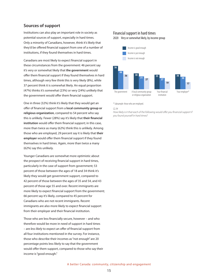### **Sources of support**

Institutions can also play an important role in society as potential sources of support, especially in hard times. Only a minority of Canadians, however, think it's likely that they'd be offered financial support from one of a number of institutions, if they found themselves in hard times.

Canadians are most likely to expect financial support in these circumstances from the government: 46 percent say it's very or somewhat likely that **the government** would offer them financial support if they found themselves in hard times, although very few think this is very likely (8%), while 37 percent think it is somewhat likely. An equal proportion (47%) thinks it's somewhat (23%) or very (24%) unlikely that the government would offer them financial support.

One in three (32%) think it's likely that they would get an offer of financial support from a **local community group or religious organization**, compared to 54 percent who say this is unlikely. Fewer (28%) say it's likely that **their financial institution** would offer them financial support; in this case, more than twice as many (62%) think this is unlikely. Among those who are employed, 29 percent say it is likely that **their employer** would offer them financial support if they found themselves in hard times. Again, more than twice a many (62%) say this unlikely.

Younger Canadians are somewhat more optimistic about the prospect of receiving financial support in hard times, particularly in the case of support from government; 53 percent of those between the ages of 18 and 34 think it's likely they would get government support, compared to 42 percent of those between the ages of 35 and 54, and 43 percent of those age 55 and over. Recent immigrants are more likely to expect financial support from the government; 66 percent say it's likely, compared to 45 percent for Canadians who are not recent immigrants. Recent immigrants are also more likely to expect financial support from their employer and their financial institution.

Those who are less financially secure, however – and who therefore would be more in need of support in hard times – are less likely to expect an offer of financial support from all four institutions mentioned in the survey. For instance, those who describe their incomes as "not enough" are 20 percentage points less likely to say that the government would offer them support, compared to those who say their income is "good enough."

### Financial support in hard times

2020 Very or somewhat likely, by income group



\* Subsample: those who are employed.

#### *Q.34*

*How likely is it that each of the following would offer you financial support if you found yourself in hard times?*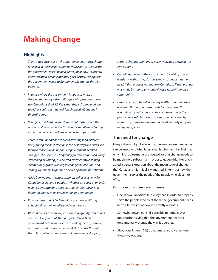# **Making Change**

## **Highlights**

- • There is no consensus on the question of how much change is needed in the way government works: one in two say that the government needs to do a better job of how it currently operates; but a sizeable minority goes further, saying that *the government needs to fundamentally change the way it operates.*
- In a case where the government is about to make a *decision that many citizens disagree with, just over one in*  two Canadians think it's likely that these citizens, working together, could get that decision changed. About one in *three disagree.*
- Younger Canadians are much more optimistic about the *power of citizens, while it is those in the middle-aged group, rather than older Canadians, who are most pessimistic.*
- Three in ten Canadians believe that voting for a different party during the next election is the best way for citizens like them to make sure an unpopular government decision is changed. The next most frequently preferred types of activity *are: calling or writing your elected representative; joining*  a community group working to change the decision; and *adding your name to petition (including an online petition).*
- • Aside from voting, the most common political activity for *Canadians is signing a petition (whether on paper or online),*  followed by contacting one's elected representative, and *donating money to an organization or a campaign.*
- Both younger and older Canadians are more politically *engaged than their middle-aged counterparts.*
- • When it comes to reducing economic inequality, Canadians are most likely to think that progress depends on *government action; in the case of ending racism, however,*  most think that progress is more likely to come through *the actions of individual citizens. In the case of stopping*

climate change, opinions are evenly divided between the *two options.*

- Canadians are most likely to say they'd be willing to pay a little more than they do now to buy a product that they *need, if that product was made in Canada, or if that product*  was made by a company that reinvests its profits in their *community.*
- Fewer say they'd be willing to pay a little more than they do now if that product was made by a company that is significantly reducing its carbon emissions; or if the product was sold by a small business owned either by a woman, by someone who from a racial minority or by an *Indigenous person.*

### **The need for change**

Many citizens might believe that the way government works can be improved. What is less clear is whether most feel that only minor adjustments are needed, or that change needs to be much more substantial. In order to gauge this, the survey asked a general question about the magnitude of change that Canadians might feel is warranted, in terms of how the government serves the needs of the people who elect it to office.

On this question there is no consensus:

- One in two Canadians (49%) say that, in order to properly serve the people who elect them, the government needs to do a better job of how it currently operates;
- Somewhat fewer, but still a sizeable minority (39%), goes further, saying that the government needs to fundamentally change the way it operates.
- • About one in ten (12%) do not make a choice between these two options.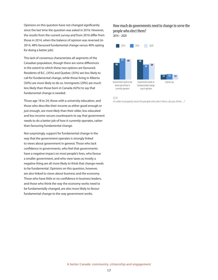Opinions on this question have not changed significantly since the last time the question was asked in 2016. However, the results from the current survey and from 2016 differ from those in 2014, when the balance of opinion was reversed (in 2014, 48% favoured fundamental change versus 40% opting for doing a better job).

This lack of consensus characterizes all segments of the Canadian population, though there are some differences in the extent to which these two options are favoured. Residents of B.C. (35%) and Quebec (35%) are less likely to call for fundamental change, while those living in Alberta (50%) are more likely to do so. Immigrants (29%) are much less likely than those born in Canada (42%) to say that fundamental change is needed.

Those age 18 to 24, those with a university education, and those who describe their income as either good enough or just enough, are more likely than their older, less educated and less income-secure counterparts to say that government needs to do a better job of how it currently operates, rather than favouring fundamental change.

Not surprisingly, support for fundamental change in the way that the government operates is strongly linked to views about government in general. Those who lack confidence in governments, who feel that governments have a negative impact on most people's lives, who favour a smaller government, and who view taxes as mostly a negative thing are all more likely to think that change needs to be fundamental. Opinions on this question, however, are also linked to views about business and the economy. Those who have little or no confidence in business leaders, and those who think the way the economy works need to be fundamentally changed, are also more likely to favour fundamental change to the way government works.

### How much do governments need to change to serve the people who elect them?  $2014 - 2020$



#### *Q.31*

*In order to properly serve the people who elect them, do you think ... ?*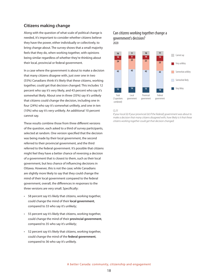### **Citizens making change**

Along with the question of what scale of political change is needed, it's important to consider whether citizens believe they have the power, either individually or collectively, to bring change about. The survey shows that a small majority feels that they do, when working together, with opinions being similar regardless of whether they're thinking about their local, provincial or federal government.

In a case where the government is about to make a decision that many citizens disagree with, just over one in two (55%) Canadians think it's likely that these citizens, working together, could get that decision changed. This includes 12 percent who say it's very likely, and 43 percent who say it's somewhat likely. About one in three (35%) say it's unlikely that citizens could change the decision, including one in four (24%) who say it's somewhat unlikely, and one in ten (10%) who say it's very unlikely. An additional 10 percent cannot say.

These results combine those from three different versions of the question, each asked to a third of survey participants, selected at random. One version specified that the decision was being made by their local government, the second referred to their provincial government, and the third referred to the federal government. It's possible that citizens might feel they have a better chance of reversing a decision of a government that is closest to them, such as their local government, but less chance of influencing decisions in Ottawa. However, this is not the case; while Canadians are slightly more likely to say that they could change the mind of their local government compared to the federal government, overall, the differences in responses to the three versions are very small. Specifically:

- • 58 percent say it's likely that citizens, working together, could change the mind of their **local government**, compared to 33 who say it's unlikely;
- • 55 percent say it's likely that citizens, working together, could change the mind of their **provincial government**, compared to 35 who say it's unlikely;
- 52 percent say it's likely that citizens, working together, could change the mind of the **federal government**, compared to 36 who say it's unlikely.

### Can citizens working together change a government's decision? 2020



#### *Q.25*

*If your local (ii) If your provincial (iii) If the federal] government was about to make a decision that many citizens disagreed with, how likely is it that these citizens working together could get that decision changed:*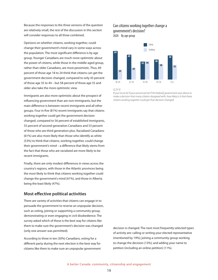Because the responses to the three versions of the question are relatively small, the rest of the discussion in this section will consider responses to all three combined.

Opinions on whether citizens, working together, could change their government's mind vary in some ways across the population. The most significant difference is by age group. Younger Canadians are much more optimistic about the power of citizens, while those in the middle-aged group, rather than older Canadians, are most pessimistic. Thus, 69 percent of those age 18 to 24 think that citizens can get the government decision changed, compared to only 43 percent of those age 35 to 44 – but 58 percent of those age 55 and older also take the more optimistic view.

Immigrants are also more optimistic about the prospect of influencing government than are non-immigrants, but the main difference is between recent immigrants and all other groups. Four in five (81%) recent immigrants say that citizens working together could get the government decision changed, compared to 56 percent of established immigrants, 55 percent of second-generation Canadians and 53 percent of those who are third generation-plus. Racialized Canadians (61%) are also more likely than those who identify as white (53%) to think that citizens, working together, could change their government's mind – a difference that likely stems from the fact that those who are racialized are more likely to be recent immigrants.

Finally, there are only modest differences in views across the country's regions, with those in the Atlantic provinces being the most likely to think that citizens working together could change the government's mind (61%), and those in Alberta being the least likely (47%).

### **Most effective political activities**

There are variety of activities that citizens can engage in to persuade the government to reverse an unpopular decision, such as voting, joining or supporting a community group, demonstrating or even engaging in civil disobedience. The survey asked which of these is the best way for citizens like them to make sure the government's decision was changed (only one answer was permitted).

According to three in ten (30%) Canadians, voting for a different party during the next election is the best way for citizens like them to make sure an unpopular government

# Can citizens working together change a government's decision?

2020 By age group



*Q.25 (i)* 

*If your local (ii) If your provincial (iii) If the federal] government was about to make a decision that many citizens disagreed with, how likely is it that these citizens working together could get that decision changed:*

decision is changed. The next most frequently selected types of activity are: calling or writing your elected representative (mentioned by 19%); joining a community group working to change the decision (13%); and adding your name to petition (including an online petition) (11%).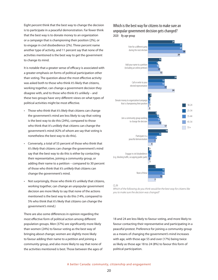Eight percent think that the best way to change the decision is to participate in a peaceful demonstration. Far fewer think that the best way is to donate money to an organization or a campaign that is championing their position (2%), or to engage in civil disobedience (2%). Three percent name another type of activity, and 11 percent say that none of the activities mentioned is the best way to get the government to change its mind.

It is notable that a greater sense of efficacy is associated with a greater emphasis on forms of political participation other than voting. The question about the most effective activity was asked both to those who think it's likely that citizens, working together, can change a government decision they disagree with, and to those who think it's unlikely – and these two groups have very different views on what types of political activities might be most effective.

- Those who think that it's likely that citizens can change the government's mind are less likely to say that voting is the best way to do this (24%), compared to those who think that it's unlikely that citizens can change the government's mind (42% of whom are say that voting is nonetheless the best way to do this).
- Conversely, a total of 55 percent of those who think that it's likely that citizens can change the government's mind say that the best way to do this is either by contacting their representative, joining a community group, or adding their name to a petition – compared to 30 percent of those who think that it's unlikely that citizens can change the government's mind.
- • Not surprisingly, those who think it's unlikely that citizens, working together, can change an unpopular government decision are more likely to say that none of the actions mentioned is the best way to do this (14%, compared to 5% who think that it's likely that citizens can change the government's mind.)

There are also some differences in opinion regarding the most effective form of political action among different population groups. Men (37%) are significantly more likely than women (24%) to favour voting as the best way of bringing about change; women are slightly more likely to favour adding their name to a petition and joining a community group, and also more likely to say that none of the activities mentioned is best. Those between the ages of

### Which is the best way for citizens to make sure an unpopular government decision gets changed? 2020 By age group



*Which of the following do you think would be the best way for citizens like you to make sure the decision was changed?*

18 and 24 are less likely to favour voting, and more likely to favour contacting their representative and participating in a peaceful protest. Preference for joining a community group as a means of changing the government's mind increases with age, with those age 55 and over (17%) being twice as likely as those age 18 to 24 (8%) to favour this form of political participation.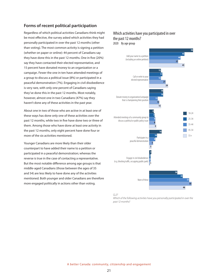### **Forms of recent political participation**

Regardless of which political activities Canadians think might be most effective, the survey asked which activities they had personally participated in over the past 12 months (other than voting). The most common activity is signing a petition (whether on paper or online): 44 percent of Canadians say they have done this in the past 12 months. One in five (20%) say they have contacted their elected representative, and 15 percent have donated money to an organization or a campaign. Fewer the one in ten have attended meetings of a group to discuss a political issue (8%) or participated in a peaceful demonstration (7%). Engaging in civil disobedience is very rare, with only one percent of Canadians saying they've done this in the past 12 months. Most notably, however, almost one in two Canadians (47%) say they haven't done any of these activities in the past year.

About one in two of those who are active in at least one of these ways has done only one of these activities over the past 12 months, while two in five have done two or three of them. Among those who have done at least one activity in the past 12 months, only eight percent have done four or more of the six activities mentioned.

Younger Canadians are more likely than their older counterpart to have added their name to a petition or participated in a peaceful demonstration; whereas the reverse is true in the case of contacting a representative. But the most notable difference among age groups is that middle-aged Canadians (those between the ages of 35 and 54) are less likely to have done any of the activities mentioned. Both younger and older Canadians are therefore more engaged politically in actions other than voting.

### Which activities have you participated in over the past 12 months? 2020 By age group



*Q.27* 

*Which of the following activities have you personally participated in over the past 12 months?*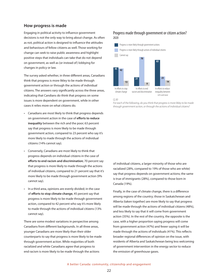### **How progress is made**

Engaging in political activity to influence government decisions is not the only way to bring about change. As often as not, political action is designed to influence the attitudes and behaviours of fellow citizens as well. Those working for change can seek to raise public awareness and highlight positive steps that individuals can take that do not depend on government, as well as (or instead of) lobbying for changes in policy or law.

The survey asked whether, in three different areas, Canadians think that progress is more likley to be made through government action or through the actions of individual citizens. The answers vary significantly across the three areas, indicating that Candians do think that progress on some issues is more dependent on government, while in other cases it relies more on what citizens do.

- • Canadians are most likely to think that progress depends on government action in the case of **efforts to reduce inequality** between the rich and the poor; 63 percent say that progress is more likely to be made through government action, compared to 23 percent who say it's more likely to made through the actions of individual citizens (14% cannot say).
- • Conversely, Canadians are most likely to think that progress depends on individual citizens in the case of **efforts to end racism and discrimination**; 70 percent say that progress is more likely to made through the actions of individual citizens, compared to 21 percent say that it's more likely to be made through government action (9% cannot say).
- In a third area, opinions are evenly divided; in the case of **efforts to stop climate change**, 45 percent say that progress is more likely to be made through government action, compared to 42 percent who say it's more likely to made through the actions of individual citizens (13% cannot say).

There are some modest variations in perspective among Canadians from different backgrounds. In all three areas, younger Canadians are more likely than their older counterparts to say that progress is more likely to be made through government action. While majorities of both racialized and white Canadians agree that progress to end racism is more likely to be made through the actions

### Progress made through government or citizen action? 2020



#### *Q.30*

*For each of the following, do you think that progress is more likley to be made through government action, or through the actions of individual citizens?* 

of individual citizens, a larger minority of those who are racialized (28%, compared to 19% of those who are white) say that progress depends on government actions; the same is true of immigrants (28%), compared to those born in Canada (19%).

Finally, in the case of climate change, there is a difference among regions of the country; those in Saskatchewan and Alberta (taken together) are more likely to say that progress will be made through the actions of individual citizens (48%), and less likely to say that it will come from government action (35%). In the rest of the country, the opposite is the case, with a higher proportion saying progress will come from government action (47%) and fewer saying it will be made through the actions of individuals (41%). This reflects broader regional differences of opinion on the issue, with residents of Alberta and Saskatchewan being less welcoming of government intervention in the energy sector to reduce the emission of greenhouse gases.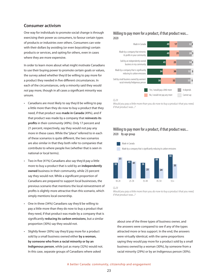### **Consumer activism**

One way for individuals to promote social change is through exercising their power as consumers, to favour certain types of products or industries over others. Consumers can vote with their dollars by avoiding (or even boycotting) certain products or services, and opting for others, even in cases where they are more expensive.

In order to learn more about what might motivate Canadians to use their buying power to promote certain goals or values, the survey asked whether they'd be willing to pay more for a product they needed in five different circumstances. In each of the circumstances, only a minority said they would *not* pay more, though in all cases a significant minority was unsure.

- • Canadians are most likely to say they'd be willing to pay a little more than they do now to buy a product that they need, if that product was **made in Canada** (49%), and if that product was made by a company that **reinvests its profits** in their community (49%). Only 17 percent and 21 percent, respectively, say they would not pay any more in these cases. While the "place" referred to in each of these scenarios is quite different, the two scenarios are also similar in that they both refer to companies that contribute to where people live (whether that is seen in national or local terms).
- Two in five (41%) Canadians also say they'd pay a little more to buy a product that is sold by an **independently owned** business in their community, while 23 percent say they would not. While a significant proportion of Canadians are prepared to support local businesses, the previous scenario that mentions the local reinvestment of profits is slightly more attractive than this scenario, which simply mentions local ownership.
- • One in three (34%) Canadians say they'd be willing to pay a little more than they do now to buy a product that they need, if that product was made by a company that is significantly **reducing its carbon emissions**, but a similar proportion (30%) say they would not.
- Slightly fewer (30%) say they'd pay more for a product sold by a small business owned either **by a woman, by someone who from a racial minority or by an Indigenous person**, while just as many (32%) would not. In this case, separate groups of Canadians where asked

### Willing to pay more for a product, if that product was... 2020



*Would you pay a little more than you do now to buy a product that you need, if that product was...?*

### Willing to pay more for a product, if that product was... 2020 By age group

![](_page_26_Figure_11.jpeg)

*Q.23* 

*Would you pay a little more than you do now to buy a product that you need, if that product was...?*

about one of the three types of business owner, and the answers were compared to see if any of the types attracted more or less support. In the end, the answers were virtually identical, with the same proportions saying they would pay more for a product sold by a small business owned by a woman (30%), by someone from a racial minority (29%) or by an Indigenous person (30%).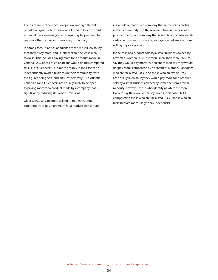There are some differences in opinion among different population groups, but these do not tend to be consistent across all the scenarios (some groups may be prepared to pay more than others in some cases, but not all).

In some cases, Atlantic Canadians are the most likely to say that they'd pay more, and Quebecers are the least likely to do so. This includes paying more for a product made in Canada (55% of Atlantic Canadians would do this, compared to 43% of Quebecers), but more notably in the case of an independently owned business in their community (with the figures being 54% and 30%, respectively). But Atlantic Canadians and Quebecers are equally likely to be open to paying more for a product made by a company that is significantly reducing its carbon emissions.

Older Canadians are more willing than their younger counterparts to pay a premium for a product that is made

in Canada or made by a company that reinvests its profits in their community. But the reverse is true in the case of a product made by a company that is significantly reducing its carbon emissions: in this case, younger Canadians are more willing to pay a premium.

In the case of a product sold by a small business owned by a woman, women (34%) are more likely than men (26%) to say they would pay more; 39 percent of men say they would *not* pay more, compared to 27 percent of women. Canadians who are racialized (28%) and those who are white (29%) are equally likely to say they would pay more for a product sold by a small business owned by someone from a racial minority; however, those who identify as white are more likely to say they would *not* pay more in this case (32%), compared to those who are racialized (23%) (those who are racialized are more likely to say it depends).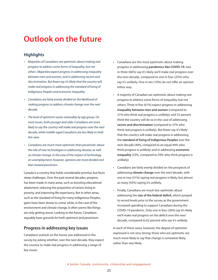# **Outlook on the future**

## **Highlights**

- • Majorities of Canadians are optimistic about making real progress to address some forms of inequality, but not others. Majorities expect progress in addressing inequality between men and women, and in addressing racism and discrimination. But fewer say it's likely that the country will make real progress in addressing the standard of living of Indigenous Peoples and economic inequality.
- • Canadians are fairly evenly divided on the likelihood of making progress to address climate change over the next *decade.*
- The level of optimism varies noticeably by age group. On most issues, both younger and older Canadians are more likely to say the country will make real progress over the next decade, while middle-aged Canadians are less likely to hold *this view.*
- Canadians are much more optimistic than pessimistic about *the role of new technologies in addressing disease, as well as climate change. In the case of the impact of technology on unemployment, however, opinions are more divided and lean toward pessimism.*

Canada is a country that holds considerable promise, but faces steep challenges. Over the past several decades, progress has been made in many areas, such as boosting educational attainment, reducing the proportion of seniors living in poverty, and improving life expectancy. But in other areas, such as the standard of living for many Indigenous Peoples, gains have been slower to come; while, in the case of the environment and climate change, it often seems like things are only getting worse. Looking to the future, Canadians arguably have grounds for both optimism and pessimism.

### **Progress in addressing key issues**

Canadians' outlook on the future was addressed in the survey by asking whether, over the next decade, they expect the country to make real progress in addressing a range of key issues.

- • Canadians are the most optimistic about making progress in addressing **pandemics like COVID-19**; two in three (66%) say it's likely we'll make real progress over the next decade, compared to one in four (25%) who say it's unlikely. One in ten (10%) do not offer an opinion either way.
- A majority of Canadian are optimistic about making real progress to address some forms of inequality, but not others. Three in five (61%) expect progress in addressing **inequality between men and women** (compared to 31% who think real progress is unlikely); and 55 percent think the country will do so in the case of addressing **racism and discrimination** (compared to 37% who think real progress is unlikely). But fewer say it's likely that the country will make real progress in addressing the **standard of living of Indigenous Peoples** over the next decade (44%, compared to an equal 44% who think progress is unlikely) and in addressing **economic inequality** (33%, compared to 59% who think progress is unlikely).
- Canadians are fairly evenly divided on the prospects of addressing **climate change** over the next decade, with one in two (51%) saying real progress is likely, but almost as many (42%) saying it's unlikely.
- Finally, Canadians are much less optimistic about addressing the **size of the federal deficit**, which jumped to record levels prior to the survey as the government increased spending to support Canadians during the COVID-19 pandemic. Only one in four (26%) say it's likely we'll make real progress on the deficit over the next decade, compared to 62 percent who say it's unlikely.

In each of these cases, however, the degree of optimism expressed is not very strong; those who are optimistic are much more likely to say that change is *somewhat* likely rather than *very* likely.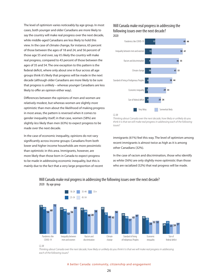The level of optimism varies noticeably by age group. In most cases, both younger and older Canadians are more likely to say the country will make real progress over the next decade, while middle-aged Canadians are less likely to hold this view. In the case of climate change, for instance, 65 percent of those between the ages of 18 and 24, and 56 percent of those age 55 and over, say it's likely the country will make real progress, compared to 43 percent of those between the ages of 35 and 54. The one exception to this pattern is the federal deficit, where only about one in four across all age groups think it's likely that progress will be made in the next decade (although older Canadians are more likely to be sure that progress is unlikely – whereas younger Canadians are less likely to offer an opinion either way).

Differences between the opinions of men and women are relatively modest, but whereas women are slightly *more* optimistic than men about the likelihood of making progress in most areas, the pattern is reversed when it comes to gender inequality itself; in that case, women (58%) are slightly *less* likely than men (63%) to expect progress to be made over the next decade.

In the case of economic inequality, opinions do not vary significantly across income groups: Canadians from both lower and higher income households are more pessimistic than optimistic in this area. Immigrants, however, are more likely than those born in Canada to expect progress to be made in addressing economic inequality, but this is mainly due to the fact that a very large proportion of recent

# Will Canada make real progress in addressing the following issues over the next decade?

![](_page_29_Figure_4.jpeg)

*Thinking about Canada over the next decade, how likely or unlikely do you think it is that we will make real progress in addressing each of the following issues?* 

immigrants (61%) feel this way. The level of optimism among recent immigrants is almost twice as high as it is among other Canadians (32%).

In the case of racism and discrimination, those who identify as white (56%) are only slightly more optimistic than those who are racialized (52%) that real progress will be made.

![](_page_29_Figure_8.jpeg)

Will Canada make real progress in addressing the following issues over the next decade? 2020 By age group

*Q.38* 

*Thinking about Canada over the next decade, how likely or unlikely do you think it is that we will make real progress in addressing each of the following issues?* 

A better Canada: community, citizenship and engagement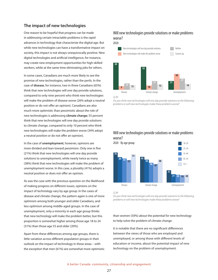### **The impact of new technologies**

One reason to be hopeful that progress can be made in addressing certain intractable problems is the rapid advances in technology that characterize the digital age. But while new technologies can have a transformative impact on society, this impact is not always unequivocally positive. New digital technologies and artificial intelligence, for instance, may create new employment opportunities for high-skilled workers, while at the same time eliminating jobs for others.

In some cases, Canadians are much more likely to see the promise of new technologies, rather than the perils. In the case of **disease**, for instance, two in three Canadians (65%) think that new technologies will one day provide solutions, compared to only nine percent who think new technologies will make the problem of disease worse (26% adopt a neutral position or do not offer an opinion). Canadians are also much more optimistic than pessimistic about the role of new technologies is addressing **climate change**; 55 percent think that new technologies will one day provide solutions to climate change, compared to only 10 percent who think new technologies will make the problem worse (34% adopt a neutral position or do not offer an opinion).

In the case of **unemployment**, however, opinions are more divided and lean toward pessimism. Only one in five (21%) think that new technologies will one day provide solutions to unemployment, while nearly twice as many (38%) think that new technologies will make the problem of unemployment worse. In this case, a plurality (41%) adopts a neutral position or does not offer an opinion.

As was the case with the previous question on the likelihood of making progress on different issues, opinions on the impact of technology vary by age group. In the cases of disease and climate change, the pattern again is one of more optimism among both younger and older Canadians, and less optimism among middle-aged groups. In the case of unemployment, only a minority in each age group thinks that new technology will make the problem better, but this proportion is somewhat higher among those age 18 to 24 (31%) than those age 55 and older (20%).

Apart from these differences among age groups, there is little variation across different population groups in their outlook on the impact of technology in these areas – with the exception that men (61%) are somewhat more optimistic

# Will new technologies provide solutions or make problems worse?

2020

![](_page_30_Figure_8.jpeg)

![](_page_30_Figure_9.jpeg)

*Do you think new technologies will one day provide solutions to the following problems or will new technologies make these problems worse?* 

### Will new technologies provide solutions or make problems worse?

![](_page_30_Figure_12.jpeg)

*Q.39* 

*Do you think new technologies will one day provide solutions to the following problems or will new technologies make these problems worse?* 

than women (50%) about the potential for new technology to help solve the problem of climate change.

It is notable that there are no significant differences between the views of those who are employed and unemployed, or among those with different levels of education or income, about the potential impact of new technology on the problem of unemployment.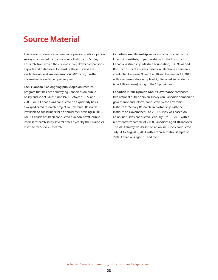# **Source Material**

This research references a number of previous public opinion surveys conducted by the Environics Institute for Survey Research, from which the current survey draws comparisons. Reports and data tables for most of these surveys are available online at *www.environicsinstitute.org*. Further information is available upon request.

**Focus Canada** is an ongoing public opinion research program that has been surveying Canadians on public policy and social issues since 1977. Between 1977 and 2009, Focus Canada was conducted on a quarterly basis as a syndicated research project by Environics Research (available to subscribers for an annual fee). Starting in 2010, Focus Canada has been conducted as a non-profit, public interest research study several times a year by the Environics Institute for Survey Research.

**Canadians on Citizenship** was a study conducted by the Environics Institute, in partnership with the Institute for Canadian Citizenship, Maytree Foundation, CBC News and RBC. It consists of a survey based on telephone interviews conducted between November 18 and December 17, 2011 with a representative sample of 2,376 Canadian residents (aged 18 and over) living in the 10 provinces.

**Canadian Public Opinion About Governance** comprises two national public opinion surveys on Canadian democratic governance and reform, conducted by the Environics Institute for Survey Research, in partnership with the Institute on Governance. The 2016 survey was based on an online survey conducted February 1 to 10, 2016 with a representative sample of 2,000 Canadians aged 18 and over. The 2014 survey was based on an online survey conducted July 31 to August 9, 2014 with a representative sample of 2,000 Canadians aged 18 and over.